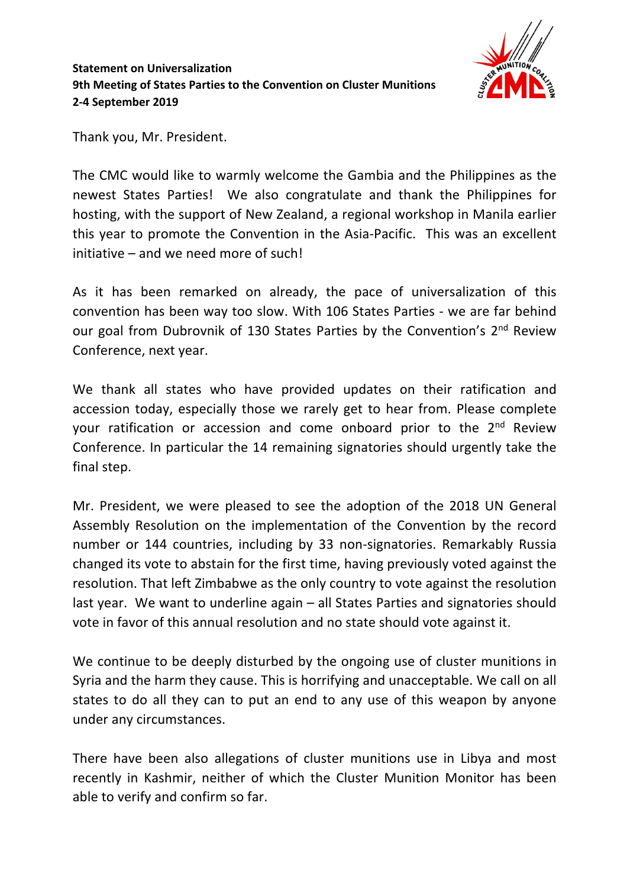

**Statement on Universalization 9th Meeting of States Parties to the Convention on Cluster Munitions 2-4 September 2019**

Thank you, Mr. President.

The CMC would like to warmly welcome the Gambia and the Philippines as the newest States Parties! We also congratulate and thank the Philippines for hosting, with the support of New Zealand, a regional workshop in Manila earlier this year to promote the Convention in the Asia-Pacific. This was an excellent initiative – and we need more of such!

As it has been remarked on already, the pace of universalization of this convention has been way too slow. With 106 States Parties - we are far behind our goal from Dubrovnik of 130 States Parties by the Convention's 2<sup>nd</sup> Review Conference, next year.

We thank all states who have provided updates on their ratification and accession today, especially those we rarely get to hear from. Please complete your ratification or accession and come onboard prior to the 2<sup>nd</sup> Review Conference. In particular the 14 remaining signatories should urgently take the final step.

Mr. President, we were pleased to see the adoption of the 2018 UN General Assembly Resolution on the implementation of the Convention by the record number or 144 countries, including by 33 non-signatories. Remarkably Russia changed its vote to abstain for the first time, having previously voted against the resolution. That left Zimbabwe as the only country to vote against the resolution last year. We want to underline again – all States Parties and signatories should vote in favor of this annual resolution and no state should vote against it.

We continue to be deeply disturbed by the ongoing use of cluster munitions in Syria and the harm they cause. This is horrifying and unacceptable. We call on all states to do all they can to put an end to any use of this weapon by anyone under any circumstances.

There have been also allegations of cluster munitions use in Libya and most recently in Kashmir, neither of which the Cluster Munition Monitor has been able to verify and confirm so far.